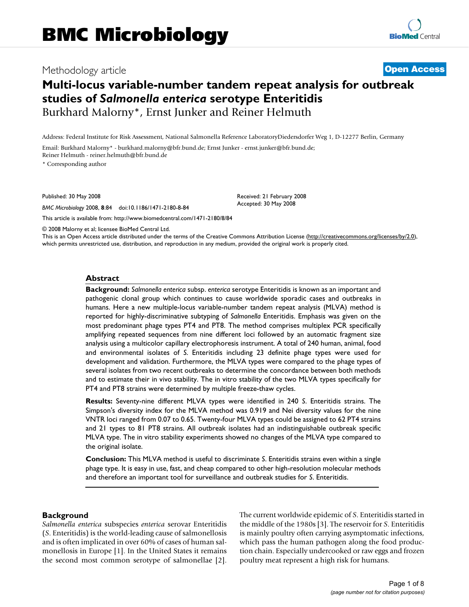# Methodology article **[Open Access](http://www.biomedcentral.com/info/about/charter/)**

# **Multi-locus variable-number tandem repeat analysis for outbreak studies of** *Salmonella enterica* **serotype Enteritidis** Burkhard Malorny\*, Ernst Junker and Reiner Helmuth

Address: Federal Institute for Risk Assessment, National Salmonella Reference LaboratoryDiedersdorfer Weg 1, D-12277 Berlin, Germany

Email: Burkhard Malorny\* - burkhard.malorny@bfr.bund.de; Ernst Junker - ernst.junker@bfr.bund.de; Reiner Helmuth - reiner.helmuth@bfr.bund.de

\* Corresponding author

Published: 30 May 2008

*BMC Microbiology* 2008, **8**:84 doi:10.1186/1471-2180-8-84

[This article is available from: http://www.biomedcentral.com/1471-2180/8/84](http://www.biomedcentral.com/1471-2180/8/84)

© 2008 Malorny et al; licensee BioMed Central Ltd.

This is an Open Access article distributed under the terms of the Creative Commons Attribution License [\(http://creativecommons.org/licenses/by/2.0\)](http://creativecommons.org/licenses/by/2.0), which permits unrestricted use, distribution, and reproduction in any medium, provided the original work is properly cited.

Received: 21 February 2008 Accepted: 30 May 2008

#### **Abstract**

**Background:** *Salmonella enterica* subsp. *enterica* serotype Enteritidis is known as an important and pathogenic clonal group which continues to cause worldwide sporadic cases and outbreaks in humans. Here a new multiple-locus variable-number tandem repeat analysis (MLVA) method is reported for highly-discriminative subtyping of *Salmonella* Enteritidis. Emphasis was given on the most predominant phage types PT4 and PT8. The method comprises multiplex PCR specifically amplifying repeated sequences from nine different loci followed by an automatic fragment size analysis using a multicolor capillary electrophoresis instrument. A total of 240 human, animal, food and environmental isolates of *S*. Enteritidis including 23 definite phage types were used for development and validation. Furthermore, the MLVA types were compared to the phage types of several isolates from two recent outbreaks to determine the concordance between both methods and to estimate their in vivo stability. The in vitro stability of the two MLVA types specifically for PT4 and PT8 strains were determined by multiple freeze-thaw cycles.

**Results:** Seventy-nine different MLVA types were identified in 240 *S*. Enteritidis strains. The Simpson's diversity index for the MLVA method was 0.919 and Nei diversity values for the nine VNTR loci ranged from 0.07 to 0.65. Twenty-four MLVA types could be assigned to 62 PT4 strains and 21 types to 81 PT8 strains. All outbreak isolates had an indistinguishable outbreak specific MLVA type. The in vitro stability experiments showed no changes of the MLVA type compared to the original isolate.

**Conclusion:** This MLVA method is useful to discriminate *S*. Enteritidis strains even within a single phage type. It is easy in use, fast, and cheap compared to other high-resolution molecular methods and therefore an important tool for surveillance and outbreak studies for *S*. Enteritidis.

#### **Background**

*Salmonella enterica* subspecies *enterica* serovar Enteritidis (*S*. Enteritidis) is the world-leading cause of salmonellosis and is often implicated in over 60% of cases of human salmonellosis in Europe [1]. In the United States it remains the second most common serotype of salmonellae [2]. The current worldwide epidemic of *S*. Enteritidis started in the middle of the 1980s [3]. The reservoir for *S*. Enteritidis is mainly poultry often carrying asymptomatic infections, which pass the human pathogen along the food production chain. Especially undercooked or raw eggs and frozen poultry meat represent a high risk for humans.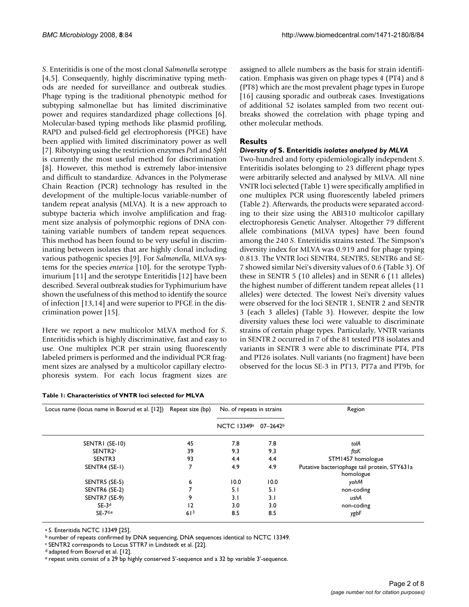*S*. Enteritidis is one of the most clonal *Salmonella* serotype [4,5]. Consequently, highly discriminative typing methods are needed for surveillance and outbreak studies. Phage typing is the traditional phenotypic method for subtyping salmonellae but has limited discriminative power and requires standardized phage collections [6]. Molecular-based typing methods like plasmid profiling, RAPD and pulsed-field gel electrophoresis (PFGE) have been applied with limited discriminatory power as well [7]. Ribotyping using the restriction enzymes *Pst*I and *Sph*I is currently the most useful method for discrimination [8]. However, this method is extremely labor-intensive and difficult to standardize. Advances in the Polymerase Chain Reaction (PCR) technology has resulted in the development of the multiple-locus variable-number of tandem repeat analysis (MLVA). It is a new approach to subtype bacteria which involve amplification and fragment size analysis of polymorphic regions of DNA containing variable numbers of tandem repeat sequences. This method has been found to be very useful in discriminating between isolates that are highly clonal including various pathogenic species [9]. For *Salmonella*, MLVA systems for the species *enterica* [10], for the serotype Typhimurium [11] and the serotype Enteritidis [12] have been described. Several outbreak studies for Typhimurium have shown the usefulness of this method to identify the source of infection [13,14] and were superior to PFGE in the discrimination power [15].

Here we report a new multicolor MLVA method for *S*. Enteritidis which is highly discriminative, fast and easy to use. One multiplex PCR per strain using fluorescently labeled primers is performed and the individual PCR fragment sizes are analysed by a multicolor capillary electrophoresis system. For each locus fragment sizes are

#### **Table 1: Characteristics of VNTR loci selected for MLVA**

assigned to allele numbers as the basis for strain identification. Emphasis was given on phage types 4 (PT4) and 8 (PT8) which are the most prevalent phage types in Europe [16] causing sporadic and outbreak cases. Investigations of additional 52 isolates sampled from two recent outbreaks showed the correlation with phage typing and other molecular methods.

### **Results**

### *Diversity of* **S. Enteritidis** *isolates analysed by MLVA*

Two-hundred and forty epidemiologically independent *S*. Enteritidis isolates belonging to 23 different phage types were arbitrarily selected and analysed by MLVA. All nine VNTR loci selected (Table 1) were specifically amplified in one multiplex PCR using fluorescently labeled primers (Table 2). Afterwards, the products were separated according to their size using the ABI310 multicolor capillary electrophoresis Genetic Analyser. Altogether 79 different allele combinations (MLVA types) have been found among the 240 *S*. Enteritidis strains tested. The Simpson's diversity index for MLVA was 0.919 and for phage typing 0.813. The VNTR loci SENTR4, SENTR5, SENTR6 and SE-7 showed similar Nei's diversity values of 0.6 (Table 3). Of these in SENTR 5 (10 alleles) and in SENR 6 (11 alleles) the highest number of different tandem repeat alleles (11 alleles) were detected. The lowest Nei's diversity values were observed for the loci SENTR 1, SENTR 2 and SENTR 3 (each 3 alleles) (Table 3). However, despite the low diversity values these loci were valuable to discriminate strains of certain phage types. Particularly, VNTR variants in SENTR 2 occurred in 7 of the 81 tested PT8 isolates and variants in SENTR 3 were able to discriminate PT4, PT8 and PT26 isolates. Null variants (no fragment) have been observed for the locus SE-3 in PT13, PT7a and PT9b, for

| Locus name (locus name in Boxrud et al. [12]) Repeat size (bp) |                 | No. of repeats in strains                    |      | Region                                                    |  |
|----------------------------------------------------------------|-----------------|----------------------------------------------|------|-----------------------------------------------------------|--|
|                                                                |                 | NCTC 13349 <sup>a</sup> 07-2642 <sup>b</sup> |      |                                                           |  |
| SENTRI (SE-10)                                                 | 45              | 7.8                                          | 7.8  | tolA                                                      |  |
| SENTR <sub>2c</sub>                                            | 39              | 9.3                                          | 9.3  | ftsK                                                      |  |
| SENTR3                                                         | 93              | 4.4                                          | 4.4  | STM1457 homologue                                         |  |
| SENTR4 (SE-1)                                                  |                 | 4.9                                          | 4.9  | Putative bacteriophage tail protein, STY631a<br>homologue |  |
| SENTR5 (SE-5)                                                  | 6               | 10.0                                         | 10.0 | yohM                                                      |  |
| SENTR6 (SE-2)                                                  |                 | 5.1                                          | 5.I  | non-coding                                                |  |
| SENTR7 (SE-9)                                                  | 9               | 3.1                                          | 3.1  | ushA                                                      |  |
| $SE-3d$                                                        | 12              | 3.0                                          | 3.0  | non-coding                                                |  |
| $SE-Zde$                                                       | 61 <sup>3</sup> | 8.5                                          | 8.5  | ygbF                                                      |  |

<sup>a</sup>*S*. Enteritidis NCTC 13349 [25].

b number of repeats confirmed by DNA sequencing, DNA sequences identical to NCTC 13349.

c SENTR2 corresponds to Locus STTR7 in Lindstedt et al. [22].

d adapted from Boxrud et al. [12].

e repeat units consist of a 29 bp highly conserved 5'-sequence and a 32 bp variable 3'-sequence.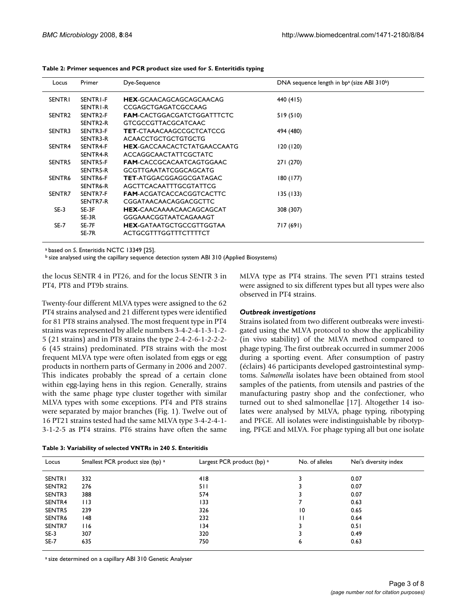| Locus              | Primer               | Dye-Sequence                       | DNA sequence length in $bp^a$ (size ABI 310 <sup>b</sup> ) |
|--------------------|----------------------|------------------------------------|------------------------------------------------------------|
| <b>SENTRI</b>      | SENTRI-F             | <b>HEX-GCAACAGCAGCAGCAACAG</b>     | 440 (415)                                                  |
|                    | SENTRI-R             | CCGAGCTGAGATCGCCAAG                |                                                            |
| SENTR <sub>2</sub> | SENTR <sub>2-F</sub> | <b>FAM-CACTGGACGATCTGGATTTCTC</b>  | 519 (510)                                                  |
|                    | SENTR <sub>2-R</sub> | <b>GTCGCCGTTACGCATCAAC</b>         |                                                            |
| SENTR3             | SENTR3-F             | <b>TET-CTAAACAAGCCGCTCATCCG</b>    | 494 (480)                                                  |
|                    | SENTR3-R             | <b>ACAACCTGCTGCTGTGCTG</b>         |                                                            |
| SENTR4             | SENTR4-F             | <b>HEX-GACCAACACTCTATGAACCAATG</b> | 120 (120)                                                  |
|                    | SENTR4-R             | <b>ACCAGGCAACTATTCGCTATC</b>       |                                                            |
| SENTR5             | SENTR5-F             | <b>FAM-CACCGCACAATCAGTGGAAC</b>    | 271 (270)                                                  |
|                    | SENTR5-R             | <b>GCGTTGAATATCGGCAGCATG</b>       |                                                            |
| SENTR6             | SENTR6-F             | <b>TET-ATGGACGGAGGCGATAGAC</b>     | 180 (177)                                                  |
|                    | SENTR6-R             | AGCTTCACAATTTGCGTATTCG             |                                                            |
| SENTR7             | SENTR7-F             | <b>FAM-ACGATCACCACGGTCACTTC</b>    | 135(133)                                                   |
|                    | SENTR7-R             | CGGATAACAACAGGACGCTTC              |                                                            |
| $SE-3$             | SE-3F                | <b>HEX-CAACAAAACAACAGCAGCAT</b>    | 308 (307)                                                  |
|                    | $SE-3R$              | GGGAAACGGTAATCAGAAAGT              |                                                            |
| $SE-7$             | SE-7F                | <b>HEX-GATAATGCTGCCGTTGGTAA</b>    | 717 (691)                                                  |
|                    | SE-7R                | ACTGCGTTTGGTTTCTTTTCT              |                                                            |
|                    |                      |                                    |                                                            |

**Table 2: Primer sequences and PCR product size used for** *S***. Enteritidis typing**

a based on *S*. Enteritidis NCTC 13349 [25].

b size analysed using the capillary sequence detection system ABI 310 (Applied Biosystems)

the locus SENTR 4 in PT26, and for the locus SENTR 3 in PT4, PT8 and PT9b strains.

Twenty-four different MLVA types were assigned to the 62 PT4 strains analysed and 21 different types were identified for 81 PT8 strains analysed. The most frequent type in PT4 strains was represented by allele numbers 3-4-2-4-1-3-1-2- 5 (21 strains) and in PT8 strains the type 2-4-2-6-1-2-2-2- 6 (45 strains) predominated. PT8 strains with the most frequent MLVA type were often isolated from eggs or egg products in northern parts of Germany in 2006 and 2007. This indicates probably the spread of a certain clone within egg-laying hens in this region. Generally, strains with the same phage type cluster together with similar MLVA types with some exceptions. PT4 and PT8 strains were separated by major branches (Fig. 1). Twelve out of 16 PT21 strains tested had the same MLVA type 3-4-2-4-1- 3-1-2-5 as PT4 strains. PT6 strains have often the same

| Table 3: Variability of selected VNTRs in 240 S. Enteritidis |  |
|--------------------------------------------------------------|--|
|--------------------------------------------------------------|--|

MLVA type as PT4 strains. The seven PT1 strains tested were assigned to six different types but all types were also observed in PT4 strains.

#### *Outbreak investigations*

Strains isolated from two different outbreaks were investigated using the MLVA protocol to show the applicability (in vivo stability) of the MLVA method compared to phage typing. The first outbreak occurred in summer 2006 during a sporting event. After consumption of pastry (éclairs) 46 participants developed gastrointestinal symptoms. *Salmonella* isolates have been obtained from stool samples of the patients, from utensils and pastries of the manufacturing pastry shop and the confectioner, who turned out to shed salmonellae [17]. Altogether 14 isolates were analysed by MLVA, phage typing, ribotyping and PFGE. All isolates were indistinguishable by ribotyping, PFGE and MLVA. For phage typing all but one isolate

| Locus              | Smallest PCR product size (bp) a | Largest PCR product (bp) a | No. of alleles | Nei's diversity index |
|--------------------|----------------------------------|----------------------------|----------------|-----------------------|
| <b>SENTRI</b>      | 332                              | 418                        |                | 0.07                  |
| SENTR <sub>2</sub> | 276                              | 511                        |                | 0.07                  |
| SENTR3             | 388                              | 574                        |                | 0.07                  |
| SENTR4             | 113                              | 133                        |                | 0.63                  |
| SENTR5             | 239                              | 326                        | 10             | 0.65                  |
| SENTR6             | 48                               | 232                        | Ш              | 0.64                  |
| SENTR7             | 116                              | 134                        |                | 0.51                  |
| $SE-3$             | 307                              | 320                        |                | 0.49                  |
| SE-7               | 635                              | 750                        | 6              | 0.63                  |

a size determined on a capillary ABI 310 Genetic Analyser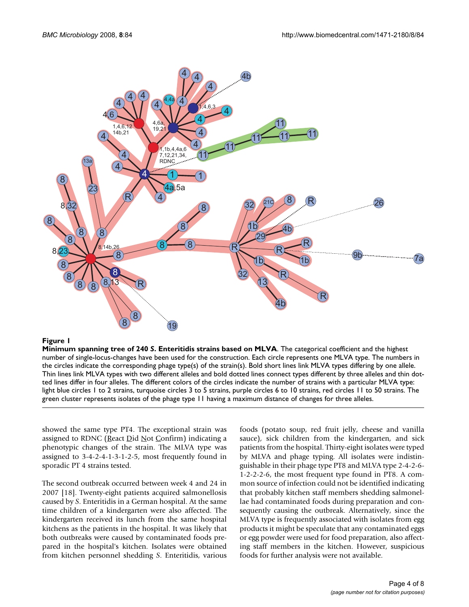

# Figure 1

**Minimum spanning tree of 240** *S***. Enteritidis strains based on MLVA**. The categorical coefficient and the highest number of single-locus-changes have been used for the construction. Each circle represents one MLVA type. The numbers in the circles indicate the corresponding phage type(s) of the strain(s). Bold short lines link MLVA types differing by one allele. Thin lines link MLVA types with two different alleles and bold dotted lines connect types different by three alleles and thin dotted lines differ in four alleles. The different colors of the circles indicate the number of strains with a particular MLVA type: light blue circles 1 to 2 strains, turquoise circles 3 to 5 strains, purple circles 6 to 10 strains, red circles 11 to 50 strains. The green cluster represents isolates of the phage type 11 having a maximum distance of changes for three alleles.

showed the same type PT4. The exceptional strain was assigned to RDNC (React Did Not Confirm) indicating a phenotypic changes of the strain. The MLVA type was assigned to 3-4-2-4-1-3-1-2-5, most frequently found in sporadic PT 4 strains tested.

The second outbreak occurred between week 4 and 24 in 2007 [18]. Twenty-eight patients acquired salmonellosis caused by *S*. Enteritidis in a German hospital. At the same time children of a kindergarten were also affected. The kindergarten received its lunch from the same hospital kitchens as the patients in the hospital. It was likely that both outbreaks were caused by contaminated foods prepared in the hospital's kitchen. Isolates were obtained from kitchen personnel shedding *S*. Enteritidis, various foods (potato soup, red fruit jelly, cheese and vanilla sauce), sick children from the kindergarten, and sick patients from the hospital. Thirty-eight isolates were typed by MLVA and phage typing. All isolates were indistinguishable in their phage type PT8 and MLVA type 2-4-2-6- 1-2-2-2-6, the most frequent type found in PT8. A common source of infection could not be identified indicating that probably kitchen staff members shedding salmonellae had contaminated foods during preparation and consequently causing the outbreak. Alternatively, since the MLVA type is frequently associated with isolates from egg products it might be speculate that any contaminated eggs or egg powder were used for food preparation, also affecting staff members in the kitchen. However, suspicious foods for further analysis were not available.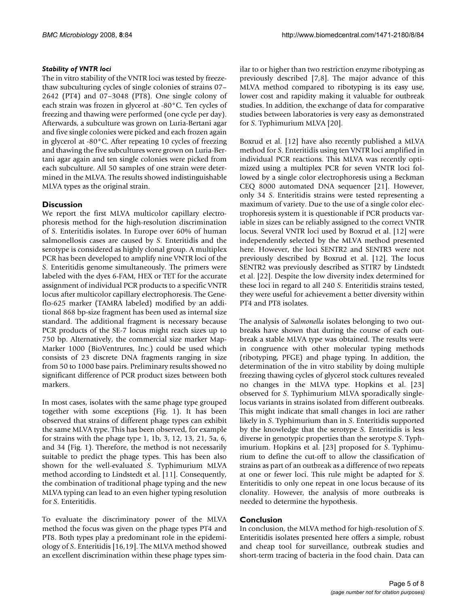# *Stability of VNTR loci*

The in vitro stability of the VNTR loci was tested by freezethaw subculturing cycles of single colonies of strains 07– 2642 (PT4) and 07–3048 (PT8). One single colony of each strain was frozen in glycerol at -80°C. Ten cycles of freezing and thawing were performed (one cycle per day). Afterwards, a subculture was grown on Luria-Bertani agar and five single colonies were picked and each frozen again in glycerol at -80°C. After repeating 10 cycles of freezing and thawing the five subcultures were grown on Luria-Bertani agar again and ten single colonies were picked from each subculture. All 50 samples of one strain were determined in the MLVA. The results showed indistinguishable MLVA types as the original strain.

# **Discussion**

We report the first MLVA multicolor capillary electrophoresis method for the high-resolution discrimination of *S*. Enteritidis isolates. In Europe over 60% of human salmonellosis cases are caused by *S*. Enteritidis and the serotype is considered as highly clonal group. A multiplex PCR has been developed to amplify nine VNTR loci of the *S*. Enteritidis genome simultaneously. The primers were labeled with the dyes 6-FAM, HEX or TET for the accurate assignment of individual PCR products to a specific VNTR locus after multicolor capillary electrophoresis. The Geneflo-625 marker (TAMRA labeled) modified by an additional 868 bp-size fragment has been used as internal size standard. The additional fragment is necessary because PCR products of the SE-7 locus might reach sizes up to 750 bp. Alternatively, the commercial size marker Map-Marker 1000 (BioVentrures, Inc.) could be used which consists of 23 discrete DNA fragments ranging in size from 50 to 1000 base pairs. Preliminary results showed no significant difference of PCR product sizes between both markers.

In most cases, isolates with the same phage type grouped together with some exceptions (Fig. 1). It has been observed that strains of different phage types can exhibit the same MLVA type. This has been observed, for example for strains with the phage type 1, 1b, 3, 12, 13, 21, 5a, 6, and 34 (Fig. 1). Therefore, the method is not necessarily suitable to predict the phage types. This has been also shown for the well-evaluated *S*. Typhimurium MLVA method according to Lindstedt et al. [11]. Consequently, the combination of traditional phage typing and the new MLVA typing can lead to an even higher typing resolution for *S*. Enteritidis.

To evaluate the discriminatory power of the MLVA method the focus was given on the phage types PT4 and PT8. Both types play a predominant role in the epidemiology of *S*. Enteritidis [16,19]. The MLVA method showed an excellent discrimination within these phage types similar to or higher than two restriction enzyme ribotyping as previously described [7,8]. The major advance of this MLVA method compared to ribotyping is its easy use, lower cost and rapidity making it valuable for outbreak studies. In addition, the exchange of data for comparative studies between laboratories is very easy as demonstrated for *S*. Typhimurium MLVA [20].

Boxrud et al. [12] have also recently published a MLVA method for *S*. Enteritidis using ten VNTR loci amplified in individual PCR reactions. This MLVA was recently optimized using a multiplex PCR for seven VNTR loci followed by a single color electrophoresis using a Beckman CEQ 8000 automated DNA sequencer [21]. However, only 34 *S*. Enteritidis strains were tested representing a maximum of variety. Due to the use of a single color electrophoresis system it is questionable if PCR products variable in sizes can be reliably assigned to the correct VNTR locus. Several VNTR loci used by Boxrud et al. [12] were independently selected by the MLVA method presented here. However, the loci SENTR2 and SENTR3 were not previously described by Boxrud et al. [12]. The locus SENTR2 was previously described as STTR7 by Lindstedt et al. [22]. Despite the low diversity index determined for these loci in regard to all 240 *S*. Enteritidis strains tested, they were useful for achievement a better diversity within PT4 and PT8 isolates.

The analysis of *Salmonella* isolates belonging to two outbreaks have shown that during the course of each outbreak a stable MLVA type was obtained. The results were in congruence with other molecular typing methods (ribotyping, PFGE) and phage typing. In addition, the determination of the in vitro stability by doing multiple freezing thawing cycles of glycerol stock cultures revealed no changes in the MLVA type. Hopkins et al. [23] observed for *S*. Typhimurium MLVA sporadically singlelocus variants in strains isolated from different outbreaks. This might indicate that small changes in loci are rather likely in *S*. Typhimurium than in *S*. Enteritidis supported by the knowledge that the serotype *S*. Enteritidis is less diverse in genotypic properties than the serotype *S*. Typhimurium. Hopkins et al. [23] proposed for *S*. Typhimurium to define the cut-off to allow the classification of strains as part of an outbreak as a difference of two repeats at one or fewer loci. This rule might be adapted for *S*. Enteritidis to only one repeat in one locus because of its clonality. However, the analysis of more outbreaks is needed to determine the hypothesis.

# **Conclusion**

In conclusion, the MLVA method for high-resolution of *S*. Enteritidis isolates presented here offers a simple, robust and cheap tool for surveillance, outbreak studies and short-term tracing of bacteria in the food chain. Data can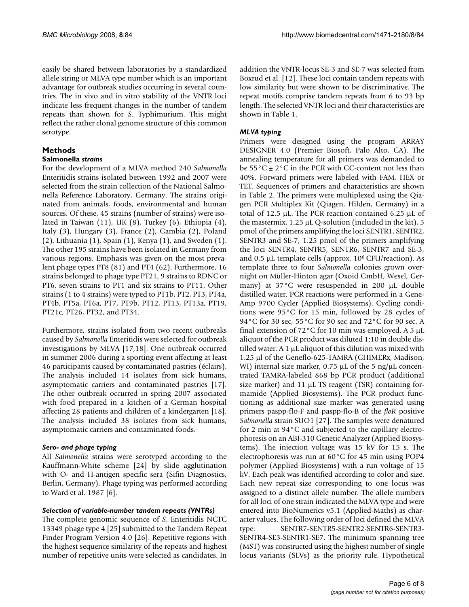easily be shared between laboratories by a standardized allele string or MLVA type number which is an important advantage for outbreak studies occurring in several countries. The in vivo and in vitro stability of the VNTR loci indicate less frequent changes in the number of tandem repeats than shown for *S*. Typhimurium. This might reflect the rather clonal genome structure of this common serotype.

# **Methods**

# **Salmonella** *strains*

For the development of a MLVA method 240 *Salmonella* Enteritidis strains isolated between 1992 and 2007 were selected from the strain collection of the National Salmonella Reference Laboratory, Germany. The strains originated from animals, foods, environmental and human sources. Of these, 45 strains (number of strains) were isolated in Taiwan (11), UK (8), Turkey (6), Ethiopia (4), Italy (3), Hungary (3), France (2), Gambia (2), Poland (2), Lithuania (1), Spain (1), Kenya (1), and Sweden (1). The other 195 strains have been isolated in Germany from various regions. Emphasis was given on the most prevalent phage types PT8 (81) and PT4 (62). Furthermore, 16 strains belonged to phage type PT21, 9 strains to RDNC or PT6, seven strains to PT1 and six strains to PT11. Other strains (1 to 4 strains) were typed to PT1b, PT2, PT3, PT4a, PT4b, PT5a, PT6a, PT7, PT9b, PT12, PT13, PT13a, PT19, PT21c, PT26, PT32, and PT34.

Furthermore, strains isolated from two recent outbreaks caused by *Salmonella* Enteritidis were selected for outbreak investigations by MLVA [17,18]. One outbreak occurred in summer 2006 during a sporting event affecting at least 46 participants caused by contaminated pastries (éclairs). The analysis included 14 isolates from sick humans, asymptomatic carriers and contaminated pastries [17]. The other outbreak occurred in spring 2007 associated with food prepared in a kitchen of a German hospital affecting 28 patients and children of a kindergarten [18]. The analysis included 38 isolates from sick humans, asymptomatic carriers and contaminated foods.

# *Sero- and phage typing*

All *Salmonella* strains were serotyped according to the Kauffmann-White scheme [24] by slide agglutination with O- and H-antigen specific sera (Sifin Diagnostics, Berlin, Germany). Phage typing was performed according to Ward et al. 1987 [6].

# *Selection of variable-number tandem repeats (VNTRs)*

The complete genomic sequence of *S*. Enteritidis NCTC 13349 phage type 4 [25] submitted to the Tandem Repeat Finder Program Version 4.0 [26]. Repetitive regions with the highest sequence similarity of the repeats and highest number of repetitive units were selected as candidates. In

addition the VNTR-locus SE-3 and SE-7 was selected from Boxrud et al. [12]. These loci contain tandem repeats with low similarity but were shown to be discriminative. The repeat motifs comprise tandem repeats from 6 to 93 bp length. The selected VNTR loci and their characteristics are shown in Table 1.

# *MLVA typing*

Primers were designed using the program ARRAY DESIGNER 4.0 (Premier Biosoft, Palo Alto, CA). The annealing temperature for all primers was demanded to be  $55^{\circ}$ C  $\pm$  2°C in the PCR with GC-content not less than 40%. Forward primers were labeled with FAM, HEX or TET. Sequences of primers and characteristics are shown in Table 2. The primers were multiplexed using the Qiagen PCR Multiplex Kit (Qiagen, Hilden, Germany) in a total of 12.5 μL. The PCR reaction contained 6.25 μL of the mastermix, 1.25 μL Q-solution (included in the kit), 5 pmol of the primers amplifying the loci SENTR1, SENTR2, SENTR3 and SE-7, 1.25 pmol of the primers amplifying the loci SENTR4, SENTR5, SENTR6, SENTR7 and SE-3, and 0.5 μL template cells (approx. 106 CFU/reaction). As template three to four *Salmonella* colonies grown overnight on Müller-Hinton agar (Oxoid GmbH, Wesel, Germany) at 37°C were resuspended in 200 μL double distilled water. PCR reactions were performed in a Gene-Amp 9700 Cycler (Applied Biosystems). Cycling conditions were 95°C for 15 min, followed by 28 cycles of 94°C for 30 sec, 55°C for 90 sec and 72°C for 90 sec. A final extension of 72°C for 10 min was employed. A 5 μL aliquot of the PCR product was diluted 1:10 in double distilled water. A 1 μL aliquot of this dilution was mixed with 1.25 μl of the Geneflo-625-TAMRA (CHIMERx, Madison, WI) internal size marker, 0.75 μL of the 5 ng/μL concentrated TAMRA-labeled 868 bp PCR product (additional size marker) and 11 μL TS reagent (TSR) containing formamide (Applied Biosystems). The PCR product functioning as additional size marker was generated using primers paspp-flo-F and paspp-flo-B of the *floR* positive *Salmonella* strain SUO1 [27]. The samples were denatured for 2 min at 94°C and subjected to the capillary electrophoresis on an ABI-310 Genetic Analyzer (Applied Biosystems). The injection voltage was 15 kV for 15 s. The electrophoresis was run at 60°C for 45 min using POP4 polymer (Applied Biosystems) with a run voltage of 15 kV. Each peak was identified according to color and size. Each new repeat size corresponding to one locus was assigned to a distinct allele number. The allele numbers for all loci of one strain indicated the MLVA type and were entered into BioNumerics v5.1 (Applied-Maths) as character values. The following order of loci defined the MLVA type: SENTR7-SENTR5-SENTR2-SENTR6-SENTR3- SENTR4-SE3-SENTR1-SE7. The minimum spanning tree (MST) was constructed using the highest number of single locus variants (SLVs) as the priority rule. Hypothetical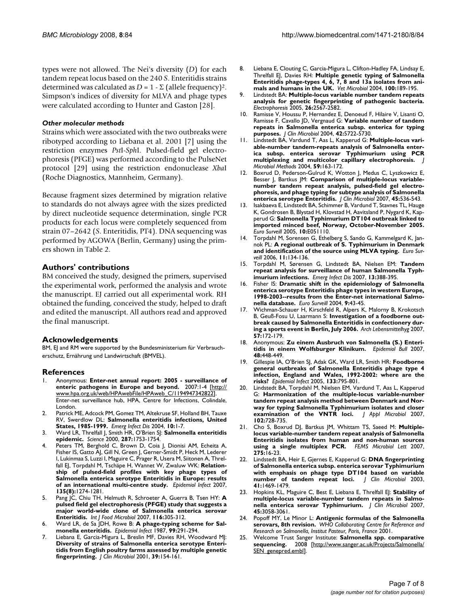types were not allowed. The Nei's diversity (*D*) for each tandem repeat locus based on the 240 *S*. Enteritidis strains determined was calculated as  $D = 1 - \Sigma$  (allele frequency)<sup>2</sup>. Simpson's indices of diversity for MLVA and phage types were calculated according to Hunter and Gaston [28].

#### *Other molecular methods*

Strains which were associated with the two outbreaks were ribotyped according to Liebana et al. 2001 [7] using the restriction enzymes *Pst*I-*Sph*I. Pulsed-field gel electrophoresis (PFGE) was performed according to the PulseNet protocol [29] using the restriction endonuclease *Xba*I (Roche Diagnostics, Mannheim, Germany).

Because fragment sizes determined by migration relative to standards do not always agree with the sizes predicted by direct nucleotide sequence determination, single PCR products for each locus were completely sequenced from strain 07–2642 (*S*. Enteritidis, PT4). DNA sequencing was performed by AGOWA (Berlin, Germany) using the primers shown in Table 2.

### **Authors' contributions**

BM conceived the study, designed the primers, supervised the experimental work, performed the analysis and wrote the manuscript. EJ carried out all experimental work. RH obtained the funding, conceived the study, helped to draft and edited the manuscript. All authors read and approved the final manuscript.

#### **Acknowledgements**

BM, EJ and RM were supported by the Bundesministerium für Verbraucherschutz, Ernährung und Landwirtschaft (BMVEL).

#### **References**

- 1. Anonymous: **Enter-net annual report: 2005 surveillance of enteric pathogens in Europe and beyond.** 2007:1-4 [[http://](http://www.hpa.org.uk/web/HPAwebFile/HPAweb_C/1194947342822) [www.hpa.org.uk/web/HPAwebFile/HPAweb\\_C/1194947342822\]](http://www.hpa.org.uk/web/HPAwebFile/HPAweb_C/1194947342822). Enter-net surveillance hub, HPA, Centre for Infections, Colindale, London.
- 2. Patrick ME, Adcock PM, Gomez TM, Altekruse SF, Holland BH, Tauxe RV, Swerdlow DL: **[Salmonella enteritidis infections, United](http://www.ncbi.nlm.nih.gov/entrez/query.fcgi?cmd=Retrieve&db=PubMed&dopt=Abstract&list_uids=15078589) [States, 1985-1999.](http://www.ncbi.nlm.nih.gov/entrez/query.fcgi?cmd=Retrieve&db=PubMed&dopt=Abstract&list_uids=15078589)** *Emerg Infect Dis* 2004, **10:**1-7.
- 3. Ward LR, Threlfall J, Smith HR, O'Brien SJ: **[Salmonella enteritidis](http://www.ncbi.nlm.nih.gov/entrez/query.fcgi?cmd=Retrieve&db=PubMed&dopt=Abstract&list_uids=10755925) [epidemic.](http://www.ncbi.nlm.nih.gov/entrez/query.fcgi?cmd=Retrieve&db=PubMed&dopt=Abstract&list_uids=10755925)** *Science* 2000, **287:**1753-1754.
- 4. Peters TM, Berghold C, Brown D, Coia J, Dionisi AM, Echeita A, Fisher IS, Gatto AJ, Gill N, Green J, Gerner-Smidt P, Heck M, Lederer I, Lukinmaa S, Luzzi I, Maguire C, Prager R, Usera M, Siitonen A, Threlfall EJ, Torpdahl M, Tschäpe H, Wannet W, Zwaluw WK: **[Relation](http://www.ncbi.nlm.nih.gov/entrez/query.fcgi?cmd=Retrieve&db=PubMed&dopt=Abstract&list_uids=17306053)[ship of pulsed-field profiles with key phage types of](http://www.ncbi.nlm.nih.gov/entrez/query.fcgi?cmd=Retrieve&db=PubMed&dopt=Abstract&list_uids=17306053) Salmonella enterica serotype Enteritidis in Europe: results [of an international multi-centre study.](http://www.ncbi.nlm.nih.gov/entrez/query.fcgi?cmd=Retrieve&db=PubMed&dopt=Abstract&list_uids=17306053)** *Epidemiol Infect* 2007, **135(8):**1274-1281.
- 5. Pang JC, Chiu TH, Helmuth R, Schroeter A, Guerra B, Tsen HY: **[A](http://www.ncbi.nlm.nih.gov/entrez/query.fcgi?cmd=Retrieve&db=PubMed&dopt=Abstract&list_uids=17379345) [pulsed field gel electrophoresis \(PFGE\) study that suggests a](http://www.ncbi.nlm.nih.gov/entrez/query.fcgi?cmd=Retrieve&db=PubMed&dopt=Abstract&list_uids=17379345) major world-wide clone of Salmonella enterica serovar [Enteritidis.](http://www.ncbi.nlm.nih.gov/entrez/query.fcgi?cmd=Retrieve&db=PubMed&dopt=Abstract&list_uids=17379345)** *Int J Food Microbiol* 2007, **116:**305-312.
- 6. Ward LR, de Sa JDH, Rowe B: **[A phage-typing scheme for Sal](http://www.ncbi.nlm.nih.gov/entrez/query.fcgi?cmd=Retrieve&db=PubMed&dopt=Abstract&list_uids=3315705)[monella enteritidis.](http://www.ncbi.nlm.nih.gov/entrez/query.fcgi?cmd=Retrieve&db=PubMed&dopt=Abstract&list_uids=3315705)** *Epidemiol Infect* 1987, **99:**291-294.
- 7. Liebana E, Garcia-Migura L, Breslin MF, Davies RH, Woodward MJ: **[Diversity of strains of Salmonella enterica serotype Enteri](http://www.ncbi.nlm.nih.gov/entrez/query.fcgi?cmd=Retrieve&db=PubMed&dopt=Abstract&list_uids=11136764)tidis from English poultry farms assessed by multiple genetic [fingerprinting.](http://www.ncbi.nlm.nih.gov/entrez/query.fcgi?cmd=Retrieve&db=PubMed&dopt=Abstract&list_uids=11136764)** *J Clin Microbiol* 2001, **39:**154-161.
- 8. Liebana E, Clouting C, Garcia-Migura L, Clifton-Hadley FA, Lindsay E, Threlfall EJ, Davies RH: **[Multiple genetic typing of Salmonella](http://www.ncbi.nlm.nih.gov/entrez/query.fcgi?cmd=Retrieve&db=PubMed&dopt=Abstract&list_uids=15145497) [Enteritidis phage-types 4, 6, 7, 8 and 13a isolates from ani](http://www.ncbi.nlm.nih.gov/entrez/query.fcgi?cmd=Retrieve&db=PubMed&dopt=Abstract&list_uids=15145497)[mals and humans in the UK.](http://www.ncbi.nlm.nih.gov/entrez/query.fcgi?cmd=Retrieve&db=PubMed&dopt=Abstract&list_uids=15145497)** *Vet Microbiol* 2004, **100:**189-195.
- 9. Lindstedt BA: **[Multiple-locus variable number tandem repeats](http://www.ncbi.nlm.nih.gov/entrez/query.fcgi?cmd=Retrieve&db=PubMed&dopt=Abstract&list_uids=15937984) [analysis for genetic fingerprinting of pathogenic bacteria.](http://www.ncbi.nlm.nih.gov/entrez/query.fcgi?cmd=Retrieve&db=PubMed&dopt=Abstract&list_uids=15937984)** *Electrophoresis* 2005, **26:**2567-2582.
- 10. Ramisse V, Houssu P, Hernandez E, Denoeud F, Hilaire V, Lisanti O, Ramisse F, Cavallo JD, Vergnaud G: **[Variable number of tandem](http://www.ncbi.nlm.nih.gov/entrez/query.fcgi?cmd=Retrieve&db=PubMed&dopt=Abstract&list_uids=15583305) [repeats in Salmonella enterica subsp. enterica for typing](http://www.ncbi.nlm.nih.gov/entrez/query.fcgi?cmd=Retrieve&db=PubMed&dopt=Abstract&list_uids=15583305) [purposes.](http://www.ncbi.nlm.nih.gov/entrez/query.fcgi?cmd=Retrieve&db=PubMed&dopt=Abstract&list_uids=15583305)** *J Clin Microbiol* 2004, **42:**5722-5730.
- 11. Lindstedt BA, Vardund T, Aas L, Kapperud G: **[Multiple-locus vari](http://www.ncbi.nlm.nih.gov/entrez/query.fcgi?cmd=Retrieve&db=PubMed&dopt=Abstract&list_uids=15369852)[able-number tandem-repeats analysis of Salmonella enter](http://www.ncbi.nlm.nih.gov/entrez/query.fcgi?cmd=Retrieve&db=PubMed&dopt=Abstract&list_uids=15369852)ica subsp. enterica serovar Typhimurium using PCR [multiplexing and multicolor capillary electrophoresis.](http://www.ncbi.nlm.nih.gov/entrez/query.fcgi?cmd=Retrieve&db=PubMed&dopt=Abstract&list_uids=15369852)** *J Microbiol Methods* 2004, **59:**163-172.
- 12. Boxrud D, Pederson-Gulrud K, Wotton J, Medus C, Lyszkowicz E, Besser J, Bartkus JM: **[Comparison of multiple-locus variable](http://www.ncbi.nlm.nih.gov/entrez/query.fcgi?cmd=Retrieve&db=PubMed&dopt=Abstract&list_uids=17151203)[number tandem repeat analysis, pulsed-field gel electro](http://www.ncbi.nlm.nih.gov/entrez/query.fcgi?cmd=Retrieve&db=PubMed&dopt=Abstract&list_uids=17151203)phoresis, and phage typing for subtype analysis of Salmonella [enterica serotype Enteritidis.](http://www.ncbi.nlm.nih.gov/entrez/query.fcgi?cmd=Retrieve&db=PubMed&dopt=Abstract&list_uids=17151203)** *J Clin Microbiol* 2007, **45:**536-543.
- 13. Isakbaeva E, Lindstedt BA, Schimmer B, Vardund T, Stavnes TL, Hauge K, Gondrosen B, Blystad H, Klovstad H, Aavitsland P, Nygard K, Kapperud G: **[Salmonella Typhimurium DT104 outbreak linked to](http://www.ncbi.nlm.nih.gov/entrez/query.fcgi?cmd=Retrieve&db=PubMed&dopt=Abstract&list_uids=16794276) [imported minced beef, Norway, October-November 2005.](http://www.ncbi.nlm.nih.gov/entrez/query.fcgi?cmd=Retrieve&db=PubMed&dopt=Abstract&list_uids=16794276)** *Euro Surveill* 2005, **10:**E051110.
- Torpdahl M, Sorensen G, Ethelberg S, Sando G, Kammelgard K, Jannok PL: **[A regional outbreak of S. Typhimurium in Denmark](http://www.ncbi.nlm.nih.gov/entrez/query.fcgi?cmd=Retrieve&db=PubMed&dopt=Abstract&list_uids=16757852) [and identification of the source using MLVA typing.](http://www.ncbi.nlm.nih.gov/entrez/query.fcgi?cmd=Retrieve&db=PubMed&dopt=Abstract&list_uids=16757852)** *Euro Surveill* 2006, **11:**134-136.
- 15. Torpdahl M, Sørensen G, Lindstedt BA, Nielsen EM: **[Tandem](http://www.ncbi.nlm.nih.gov/entrez/query.fcgi?cmd=Retrieve&db=PubMed&dopt=Abstract&list_uids=17552091) [repeat analysis for surveillance of human Salmonella Typh](http://www.ncbi.nlm.nih.gov/entrez/query.fcgi?cmd=Retrieve&db=PubMed&dopt=Abstract&list_uids=17552091)[imurium infections.](http://www.ncbi.nlm.nih.gov/entrez/query.fcgi?cmd=Retrieve&db=PubMed&dopt=Abstract&list_uids=17552091)** *Emerg Infect Dis* 2007, **13:**388-395.
- 16. Fisher IS: **[Dramatic shift in the epidemiology of Salmonella](http://www.ncbi.nlm.nih.gov/entrez/query.fcgi?cmd=Retrieve&db=PubMed&dopt=Abstract&list_uids=15591691) [enterica serotype Enteritidis phage types in western Europe,](http://www.ncbi.nlm.nih.gov/entrez/query.fcgi?cmd=Retrieve&db=PubMed&dopt=Abstract&list_uids=15591691) 1998-2003--results from the Enter-net international Salmo[nella database.](http://www.ncbi.nlm.nih.gov/entrez/query.fcgi?cmd=Retrieve&db=PubMed&dopt=Abstract&list_uids=15591691)** *Euro Surveill* 2004, **9:**43-45.
- 17. Wichman-Schauer H, Kirschfeld R, Alpers K, Malorny B, Krokotsch B, Geuß-Fosu U, Laarmann S: **Investigation of a foodborne outbreak caused by Salmonella Enteritidis in confectionery during a sports event in Berlin, July 2006.** *Arch Lebensmittelhyg* 2007, **57:**172-179.
- 18. Anonymous: **Zu einem Ausbruch von Salmonella (S.) Enteritidis in einem Wolfsburger Klinikum.** *Epidemiol Bull* 2007, **48:**448-449.
- 19. Gillespie IA, O'Brien SJ, Adak GK, Ward LR, Smith HR: **[Foodborne](http://www.ncbi.nlm.nih.gov/entrez/query.fcgi?cmd=Retrieve&db=PubMed&dopt=Abstract&list_uids=16181497) [general outbreaks of Salmonella Enteritidis phage type 4](http://www.ncbi.nlm.nih.gov/entrez/query.fcgi?cmd=Retrieve&db=PubMed&dopt=Abstract&list_uids=16181497) infection, England and Wales, 1992-2002: where are the [risks?](http://www.ncbi.nlm.nih.gov/entrez/query.fcgi?cmd=Retrieve&db=PubMed&dopt=Abstract&list_uids=16181497)** *Epidemiol Infect* 2005, **133:**795-801.
- 20. Lindstedt BA, Torpdahl M, Nielsen EM, Vardund T, Aas L, Kapperud G: **[Harmonization of the multiple-locus variable-number](http://www.ncbi.nlm.nih.gov/entrez/query.fcgi?cmd=Retrieve&db=PubMed&dopt=Abstract&list_uids=17309622) [tandem repeat analysis method between Denmark and Nor](http://www.ncbi.nlm.nih.gov/entrez/query.fcgi?cmd=Retrieve&db=PubMed&dopt=Abstract&list_uids=17309622)way for typing Salmonella Typhimurium isolates and closer [examination of the VNTR loci.](http://www.ncbi.nlm.nih.gov/entrez/query.fcgi?cmd=Retrieve&db=PubMed&dopt=Abstract&list_uids=17309622)** *J Appl Microbiol* 2007, **102:**728-735.
- 21. Cho S, Boxrud DJ, Bartkus JM, Whittam TS, Saeed M: **[Multiple](http://www.ncbi.nlm.nih.gov/entrez/query.fcgi?cmd=Retrieve&db=PubMed&dopt=Abstract&list_uids=17692097)[locus variable-number tandem repeat analysis of Salmonella](http://www.ncbi.nlm.nih.gov/entrez/query.fcgi?cmd=Retrieve&db=PubMed&dopt=Abstract&list_uids=17692097) Enteritidis isolates from human and non-human sources [using a single multiplex PCR.](http://www.ncbi.nlm.nih.gov/entrez/query.fcgi?cmd=Retrieve&db=PubMed&dopt=Abstract&list_uids=17692097)** *FEMS Microbiol Lett* 2007, **275:**16-23.
- 22. Lindstedt BA, Heir E, Gjernes E, Kapperud G: **[DNA fingerprinting](http://www.ncbi.nlm.nih.gov/entrez/query.fcgi?cmd=Retrieve&db=PubMed&dopt=Abstract&list_uids=12682132) [of Salmonella enterica subsp. enterica serovar Typhimurium](http://www.ncbi.nlm.nih.gov/entrez/query.fcgi?cmd=Retrieve&db=PubMed&dopt=Abstract&list_uids=12682132) with emphasis on phage type DT104 based on variable [number of tandem repeat loci.](http://www.ncbi.nlm.nih.gov/entrez/query.fcgi?cmd=Retrieve&db=PubMed&dopt=Abstract&list_uids=12682132)** *J Clin Microbiol* 2003, **41:**1469-1479.
- 23. Hopkins KL, Maguire C, Best E, Liebana E, Threlfall EJ: **[Stability of](http://www.ncbi.nlm.nih.gov/entrez/query.fcgi?cmd=Retrieve&db=PubMed&dopt=Abstract&list_uids=17609320) [multiple-locus variable-number tandem repeats in Salmo](http://www.ncbi.nlm.nih.gov/entrez/query.fcgi?cmd=Retrieve&db=PubMed&dopt=Abstract&list_uids=17609320)[nella enterica serovar Typhimurium.](http://www.ncbi.nlm.nih.gov/entrez/query.fcgi?cmd=Retrieve&db=PubMed&dopt=Abstract&list_uids=17609320)** *J Clin Microbiol* 2007, **45:**3058-3061.
- 24. Popoff MY, Le Minor L: **Antigenic formulas of the Salmonella serovars, 8th revision.** *WHO Collaborating Centre for Reference and Research on Salmonella, Institut Pasteur, Paris, France* 2001.
- 25. Welcome Trust Sanger Institute: **Salmonella spp. comparative sequencing.** 2008 [[http://www.sanger.ac.uk/Projects/Salmonella/](http://www.sanger.ac.uk/Projects/Salmonella/SEN_genepred.embl) [SEN\\_genepred.embl\]](http://www.sanger.ac.uk/Projects/Salmonella/SEN_genepred.embl).